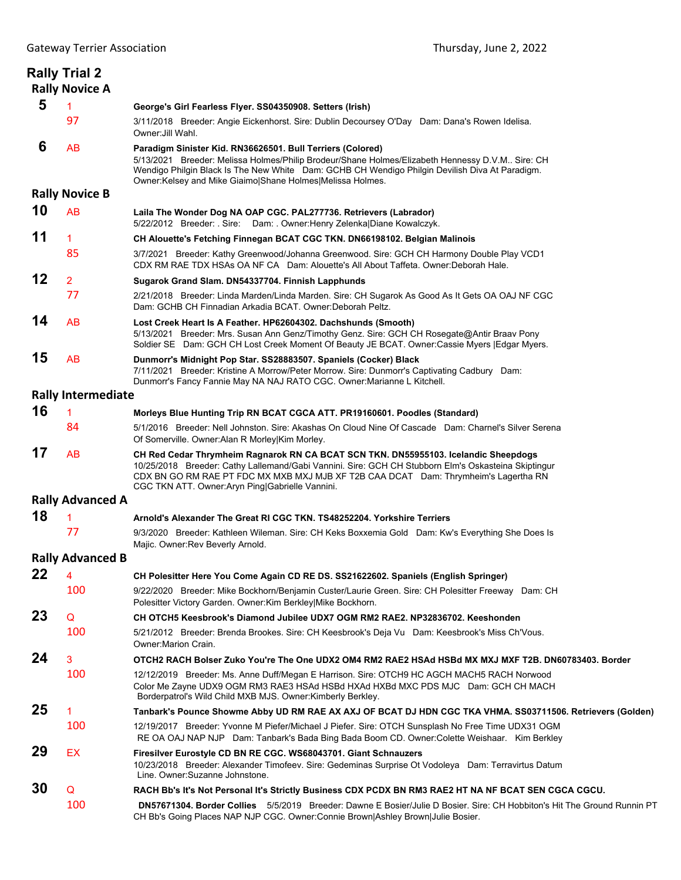|    | <b>Rally Trial 2</b><br><b>Rally Novice A</b> |                                                                                                                                                                                                                                                                                                                                       |
|----|-----------------------------------------------|---------------------------------------------------------------------------------------------------------------------------------------------------------------------------------------------------------------------------------------------------------------------------------------------------------------------------------------|
| 5  | 1                                             | George's Girl Fearless Flyer. SS04350908. Setters (Irish)                                                                                                                                                                                                                                                                             |
|    | 97                                            | 3/11/2018 Breeder: Angie Eickenhorst. Sire: Dublin Decoursey O'Day Dam: Dana's Rowen Idelisa.<br>Owner: Jill Wahl.                                                                                                                                                                                                                    |
| 6  | <b>AB</b>                                     | Paradigm Sinister Kid. RN36626501. Bull Terriers (Colored)<br>5/13/2021 Breeder: Melissa Holmes/Philip Brodeur/Shane Holmes/Elizabeth Hennessy D.V.M Sire: CH<br>Wendigo Philgin Black Is The New White Dam: GCHB CH Wendigo Philgin Devilish Diva At Paradigm.<br>Owner: Kelsey and Mike Giaimo Shane Holmes Melissa Holmes.         |
|    | <b>Rally Novice B</b>                         |                                                                                                                                                                                                                                                                                                                                       |
| 10 | <b>AB</b>                                     | Laila The Wonder Dog NA OAP CGC. PAL277736. Retrievers (Labrador)<br>5/22/2012 Breeder: Sire: Dam: Owner:Henry Zelenka Diane Kowalczyk.                                                                                                                                                                                               |
| 11 | $\mathbf{1}$                                  | CH Alouette's Fetching Finnegan BCAT CGC TKN. DN66198102. Belgian Malinois                                                                                                                                                                                                                                                            |
|    | 85                                            | 3/7/2021 Breeder: Kathy Greenwood/Johanna Greenwood. Sire: GCH CH Harmony Double Play VCD1<br>CDX RM RAE TDX HSAs OA NF CA Dam: Alouette's All About Taffeta. Owner: Deborah Hale.                                                                                                                                                    |
| 12 | $\overline{2}$                                | Sugarok Grand Slam. DN54337704. Finnish Lapphunds                                                                                                                                                                                                                                                                                     |
|    | 77                                            | 2/21/2018 Breeder: Linda Marden/Linda Marden. Sire: CH Sugarok As Good As It Gets OA OAJ NF CGC<br>Dam: GCHB CH Finnadian Arkadia BCAT. Owner: Deborah Peltz.                                                                                                                                                                         |
| 14 | AB                                            | Lost Creek Heart Is A Feather. HP62604302. Dachshunds (Smooth)<br>5/13/2021 Breeder: Mrs. Susan Ann Genz/Timothy Genz. Sire: GCH CH Rosegate@Antir Braav Pony<br>Soldier SE Dam: GCH CH Lost Creek Moment Of Beauty JE BCAT. Owner: Cassie Myers   Edgar Myers.                                                                       |
| 15 | AB                                            | Dunmorr's Midnight Pop Star. SS28883507. Spaniels (Cocker) Black<br>7/11/2021 Breeder: Kristine A Morrow/Peter Morrow. Sire: Dunmorr's Captivating Cadbury Dam:<br>Dunmorr's Fancy Fannie May NA NAJ RATO CGC. Owner: Marianne L Kitchell.                                                                                            |
|    | <b>Rally Intermediate</b>                     |                                                                                                                                                                                                                                                                                                                                       |
| 16 | $\mathbf{1}$                                  | Morleys Blue Hunting Trip RN BCAT CGCA ATT. PR19160601. Poodles (Standard)                                                                                                                                                                                                                                                            |
|    | 84                                            | 5/1/2016 Breeder: Nell Johnston. Sire: Akashas On Cloud Nine Of Cascade Dam: Charnel's Silver Serena<br>Of Somerville. Owner: Alan R Morley Kim Morley.                                                                                                                                                                               |
| 17 | AB                                            | CH Red Cedar Thrymheim Ragnarok RN CA BCAT SCN TKN. DN55955103. Icelandic Sheepdogs<br>10/25/2018 Breeder: Cathy Lallemand/Gabi Vannini. Sire: GCH CH Stubborn Elm's Oskasteina Skiptingur<br>CDX BN GO RM RAE PT FDC MX MXB MXJ MJB XF T2B CAA DCAT Dam: Thrymheim's Lagertha RN<br>CGC TKN ATT. Owner: Aryn Ping Gabrielle Vannini. |
|    | <b>Rally Advanced A</b>                       |                                                                                                                                                                                                                                                                                                                                       |
| 18 |                                               | Arnold's Alexander The Great RI CGC TKN. TS48252204. Yorkshire Terriers                                                                                                                                                                                                                                                               |
|    | 77                                            | 9/3/2020 Breeder: Kathleen Wileman. Sire: CH Keks Boxxemia Gold Dam: Kw's Everything She Does Is<br>Majic. Owner: Rev Beverly Arnold.                                                                                                                                                                                                 |
|    | <b>Rally Advanced B</b>                       |                                                                                                                                                                                                                                                                                                                                       |
| 22 | 4                                             | CH Polesitter Here You Come Again CD RE DS. SS21622602. Spaniels (English Springer)                                                                                                                                                                                                                                                   |
|    | 100                                           | 9/22/2020 Breeder: Mike Bockhorn/Benjamin Custer/Laurie Green. Sire: CH Polesitter Freeway Dam: CH<br>Polesitter Victory Garden. Owner: Kim Berkley Mike Bockhorn.                                                                                                                                                                    |
| 23 | Q                                             | CH OTCH5 Keesbrook's Diamond Jubilee UDX7 OGM RM2 RAE2. NP32836702. Keeshonden                                                                                                                                                                                                                                                        |
|    | 100                                           | 5/21/2012 Breeder: Brenda Brookes. Sire: CH Keesbrook's Deja Vu Dam: Keesbrook's Miss Ch'Vous.<br>Owner: Marion Crain.                                                                                                                                                                                                                |
| 24 | 3                                             | OTCH2 RACH Bolser Zuko You're The One UDX2 OM4 RM2 RAE2 HSAd HSBd MX MXJ MXF T2B. DN60783403. Border                                                                                                                                                                                                                                  |
|    | 100                                           | 12/12/2019 Breeder: Ms. Anne Duff/Megan E Harrison. Sire: OTCH9 HC AGCH MACH5 RACH Norwood<br>Color Me Zayne UDX9 OGM RM3 RAE3 HSAd HSBd HXAd HXBd MXC PDS MJC Dam: GCH CH MACH<br>Borderpatrol's Wild Child MXB MJS. Owner: Kimberly Berkley.                                                                                        |
| 25 | 1                                             | Tanbark's Pounce Showme Abby UD RM RAE AX AXJ OF BCAT DJ HDN CGC TKA VHMA. SS03711506. Retrievers (Golden)                                                                                                                                                                                                                            |
|    | 100                                           | 12/19/2017 Breeder: Yvonne M Piefer/Michael J Piefer. Sire: OTCH Sunsplash No Free Time UDX31 OGM<br>RE OA OAJ NAP NJP Dam: Tanbark's Bada Bing Bada Boom CD. Owner: Colette Weishaar. Kim Berkley                                                                                                                                    |
| 29 | EX                                            | Firesilver Eurostyle CD BN RE CGC. WS68043701. Giant Schnauzers<br>10/23/2018 Breeder: Alexander Timofeev. Sire: Gedeminas Surprise Ot Vodoleya Dam: Terravirtus Datum<br>Line. Owner: Suzanne Johnstone.                                                                                                                             |
| 30 | Q                                             | RACH Bb's It's Not Personal It's Strictly Business CDX PCDX BN RM3 RAE2 HT NA NF BCAT SEN CGCA CGCU.                                                                                                                                                                                                                                  |
|    | 100                                           | DN57671304. Border Collies 5/5/2019 Breeder: Dawne E Bosier/Julie D Bosier. Sire: CH Hobbiton's Hit The Ground Runnin PT<br>CH Bb's Going Places NAP NJP CGC. Owner:Connie Brown Ashley Brown Julie Bosier.                                                                                                                           |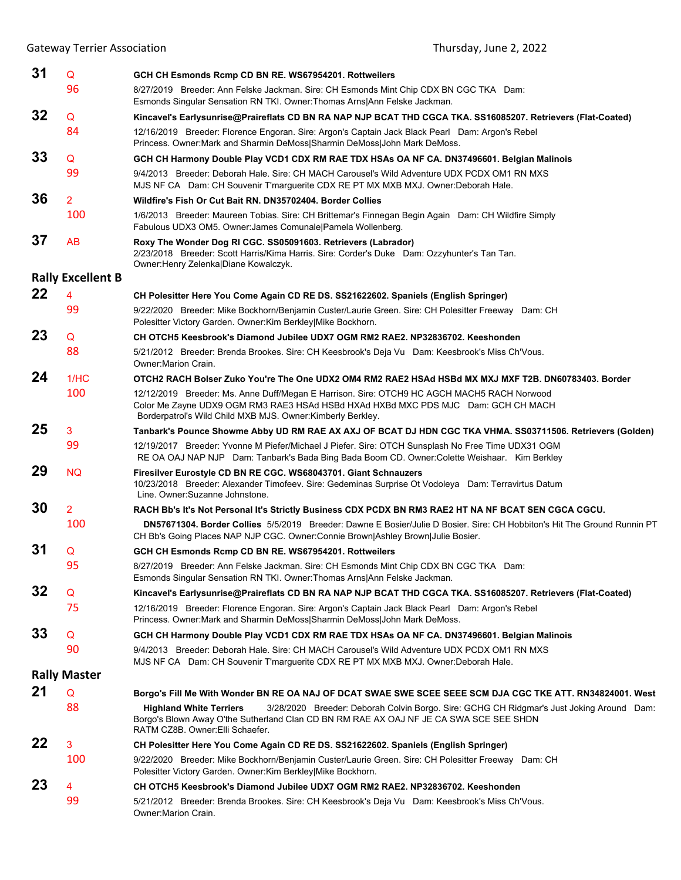| 31 | Q                        | GCH CH Esmonds Rcmp CD BN RE. WS67954201. Rottweilers                                                                                                                                                                                                    |
|----|--------------------------|----------------------------------------------------------------------------------------------------------------------------------------------------------------------------------------------------------------------------------------------------------|
|    | 96                       | 8/27/2019 Breeder: Ann Felske Jackman. Sire: CH Esmonds Mint Chip CDX BN CGC TKA Dam:<br>Esmonds Singular Sensation RN TKI. Owner: Thomas Arns Ann Felske Jackman.                                                                                       |
| 32 | Q                        | Kincavel's Earlysunrise@Praireflats CD BN RA NAP NJP BCAT THD CGCA TKA. SS16085207. Retrievers (Flat-Coated)                                                                                                                                             |
|    | 84                       | 12/16/2019 Breeder: Florence Engoran. Sire: Argon's Captain Jack Black Pearl Dam: Argon's Rebel<br>Princess. Owner: Mark and Sharmin DeMoss Sharmin DeMoss John Mark DeMoss.                                                                             |
| 33 | Q                        | GCH CH Harmony Double Play VCD1 CDX RM RAE TDX HSAs OA NF CA. DN37496601. Belgian Malinois                                                                                                                                                               |
|    | 99                       | 9/4/2013 Breeder: Deborah Hale. Sire: CH MACH Carousel's Wild Adventure UDX PCDX OM1 RN MXS<br>MJS NF CA Dam: CH Souvenir T'marguerite CDX RE PT MX MXB MXJ. Owner: Deborah Hale.                                                                        |
| 36 | $\overline{2}$           | Wildfire's Fish Or Cut Bait RN, DN35702404, Border Collies                                                                                                                                                                                               |
|    | 100                      | 1/6/2013 Breeder: Maureen Tobias. Sire: CH Brittemar's Finnegan Begin Again Dam: CH Wildfire Simply<br>Fabulous UDX3 OM5. Owner: James Comunale   Pamela Wollenberg.                                                                                     |
| 37 | AB                       | Roxy The Wonder Dog RI CGC. SS05091603. Retrievers (Labrador)<br>2/23/2018 Breeder: Scott Harris/Kima Harris. Sire: Corder's Duke Dam: Ozzyhunter's Tan Tan.<br>Owner: Henry Zelenka Diane Kowalczyk.                                                    |
|    | <b>Rally Excellent B</b> |                                                                                                                                                                                                                                                          |
| 22 | 4                        | CH Polesitter Here You Come Again CD RE DS. SS21622602. Spaniels (English Springer)                                                                                                                                                                      |
|    | 99                       | 9/22/2020 Breeder: Mike Bockhorn/Benjamin Custer/Laurie Green. Sire: CH Polesitter Freeway Dam: CH<br>Polesitter Victory Garden. Owner: Kim Berkley Mike Bockhorn.                                                                                       |
| 23 | Q                        | CH OTCH5 Keesbrook's Diamond Jubilee UDX7 OGM RM2 RAE2. NP32836702. Keeshonden                                                                                                                                                                           |
|    | 88                       | 5/21/2012 Breeder: Brenda Brookes. Sire: CH Keesbrook's Deja Vu Dam: Keesbrook's Miss Ch'Vous.<br>Owner: Marion Crain.                                                                                                                                   |
| 24 | 1/HC                     | OTCH2 RACH Bolser Zuko You're The One UDX2 OM4 RM2 RAE2 HSAd HSBd MX MXJ MXF T2B. DN60783403. Border                                                                                                                                                     |
|    | 100                      | 12/12/2019 Breeder: Ms. Anne Duff/Megan E Harrison. Sire: OTCH9 HC AGCH MACH5 RACH Norwood<br>Color Me Zayne UDX9 OGM RM3 RAE3 HSAd HSBd HXAd HXBd MXC PDS MJC Dam: GCH CH MACH<br>Borderpatrol's Wild Child MXB MJS. Owner: Kimberly Berkley.           |
| 25 | 3                        | Tanbark's Pounce Showme Abby UD RM RAE AX AXJ OF BCAT DJ HDN CGC TKA VHMA. SS03711506. Retrievers (Golden)                                                                                                                                               |
|    | 99                       | 12/19/2017 Breeder: Yvonne M Piefer/Michael J Piefer. Sire: OTCH Sunsplash No Free Time UDX31 OGM<br>RE OA OAJ NAP NJP Dam: Tanbark's Bada Bing Bada Boom CD. Owner: Colette Weishaar. Kim Berkley                                                       |
| 29 | <b>NQ</b>                | Firesilver Eurostyle CD BN RE CGC. WS68043701. Giant Schnauzers<br>10/23/2018 Breeder: Alexander Timofeev. Sire: Gedeminas Surprise Ot Vodoleya Dam: Terravirtus Datum<br>Line. Owner:Suzanne Johnstone.                                                 |
| 30 | $\overline{2}$           | RACH Bb's It's Not Personal It's Strictly Business CDX PCDX BN RM3 RAE2 HT NA NF BCAT SEN CGCA CGCU.                                                                                                                                                     |
|    | 100                      | DN57671304. Border Collies 5/5/2019 Breeder: Dawne E Bosier/Julie D Bosier. Sire: CH Hobbiton's Hit The Ground Runnin PT<br>CH Bb's Going Places NAP NJP CGC. Owner:Connie Brown Ashley Brown Julie Bosier.                                              |
| 31 | Q                        | GCH CH Esmonds Rcmp CD BN RE. WS67954201. Rottweilers                                                                                                                                                                                                    |
|    | 95                       | 8/27/2019 Breeder: Ann Felske Jackman. Sire: CH Esmonds Mint Chip CDX BN CGC TKA Dam:<br>Esmonds Singular Sensation RN TKI. Owner: Thomas Arns Ann Felske Jackman.                                                                                       |
| 32 | Q                        | Kincavel's Earlysunrise@Praireflats CD BN RA NAP NJP BCAT THD CGCA TKA. SS16085207. Retrievers (Flat-Coated)                                                                                                                                             |
|    | 75                       | 12/16/2019 Breeder: Florence Engoran. Sire: Argon's Captain Jack Black Pearl Dam: Argon's Rebel<br>Princess. Owner: Mark and Sharmin DeMoss Sharmin DeMoss John Mark DeMoss.                                                                             |
| 33 | Q                        | GCH CH Harmony Double Play VCD1 CDX RM RAE TDX HSAs OA NF CA. DN37496601. Belgian Malinois                                                                                                                                                               |
|    | 90                       | 9/4/2013 Breeder: Deborah Hale. Sire: CH MACH Carousel's Wild Adventure UDX PCDX OM1 RN MXS<br>MJS NF CA Dam: CH Souvenir T'marguerite CDX RE PT MX MXB MXJ. Owner:Deborah Hale.                                                                         |
|    | <b>Rally Master</b>      |                                                                                                                                                                                                                                                          |
| 21 | Q                        | Borgo's Fill Me With Wonder BN RE OA NAJ OF DCAT SWAE SWE SCEE SEEE SCM DJA CGC TKE ATT. RN34824001. West                                                                                                                                                |
|    | 88                       | 3/28/2020 Breeder: Deborah Colvin Borgo. Sire: GCHG CH Ridgmar's Just Joking Around Dam:<br><b>Highland White Terriers</b><br>Borgo's Blown Away O'the Sutherland Clan CD BN RM RAE AX OAJ NF JE CA SWA SCE SEE SHDN<br>RATM CZ8B. Owner: Elli Schaefer. |
| 22 | 3                        | CH Polesitter Here You Come Again CD RE DS. SS21622602. Spaniels (English Springer)                                                                                                                                                                      |
|    | 100                      | 9/22/2020 Breeder: Mike Bockhorn/Benjamin Custer/Laurie Green. Sire: CH Polesitter Freeway Dam: CH<br>Polesitter Victory Garden. Owner: Kim Berkley Mike Bockhorn.                                                                                       |
| 23 | 4                        | CH OTCH5 Keesbrook's Diamond Jubilee UDX7 OGM RM2 RAE2. NP32836702. Keeshonden                                                                                                                                                                           |
|    | 99                       | 5/21/2012 Breeder: Brenda Brookes. Sire: CH Keesbrook's Deja Vu Dam: Keesbrook's Miss Ch'Vous.<br>Owner: Marion Crain.                                                                                                                                   |